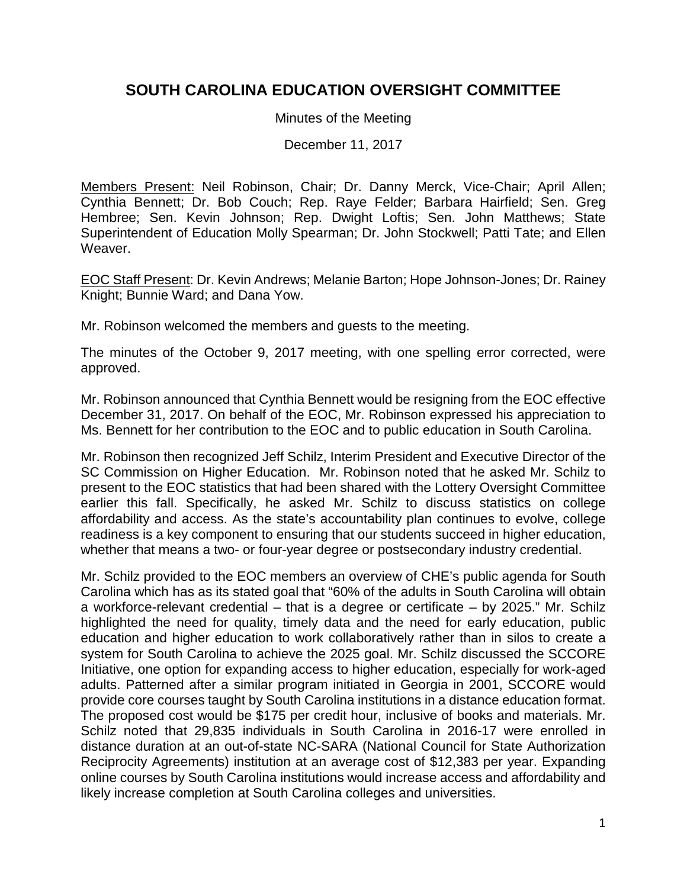# **SOUTH CAROLINA EDUCATION OVERSIGHT COMMITTEE**

Minutes of the Meeting

December 11, 2017

Members Present: Neil Robinson, Chair; Dr. Danny Merck, Vice-Chair; April Allen; Cynthia Bennett; Dr. Bob Couch; Rep. Raye Felder; Barbara Hairfield; Sen. Greg Hembree; Sen. Kevin Johnson; Rep. Dwight Loftis; Sen. John Matthews; State Superintendent of Education Molly Spearman; Dr. John Stockwell; Patti Tate; and Ellen Weaver.

EOC Staff Present: Dr. Kevin Andrews; Melanie Barton; Hope Johnson-Jones; Dr. Rainey Knight; Bunnie Ward; and Dana Yow.

Mr. Robinson welcomed the members and guests to the meeting.

The minutes of the October 9, 2017 meeting, with one spelling error corrected, were approved.

Mr. Robinson announced that Cynthia Bennett would be resigning from the EOC effective December 31, 2017. On behalf of the EOC, Mr. Robinson expressed his appreciation to Ms. Bennett for her contribution to the EOC and to public education in South Carolina.

Mr. Robinson then recognized Jeff Schilz, Interim President and Executive Director of the SC Commission on Higher Education. Mr. Robinson noted that he asked Mr. Schilz to present to the EOC statistics that had been shared with the Lottery Oversight Committee earlier this fall. Specifically, he asked Mr. Schilz to discuss statistics on college affordability and access. As the state's accountability plan continues to evolve, college readiness is a key component to ensuring that our students succeed in higher education, whether that means a two- or four-year degree or postsecondary industry credential.

Mr. Schilz provided to the EOC members an overview of CHE's public agenda for South Carolina which has as its stated goal that "60% of the adults in South Carolina will obtain a workforce-relevant credential – that is a degree or certificate – by 2025." Mr. Schilz highlighted the need for quality, timely data and the need for early education, public education and higher education to work collaboratively rather than in silos to create a system for South Carolina to achieve the 2025 goal. Mr. Schilz discussed the SCCORE Initiative, one option for expanding access to higher education, especially for work-aged adults. Patterned after a similar program initiated in Georgia in 2001, SCCORE would provide core courses taught by South Carolina institutions in a distance education format. The proposed cost would be \$175 per credit hour, inclusive of books and materials. Mr. Schilz noted that 29,835 individuals in South Carolina in 2016-17 were enrolled in distance duration at an out-of-state NC-SARA (National Council for State Authorization Reciprocity Agreements) institution at an average cost of \$12,383 per year. Expanding online courses by South Carolina institutions would increase access and affordability and likely increase completion at South Carolina colleges and universities.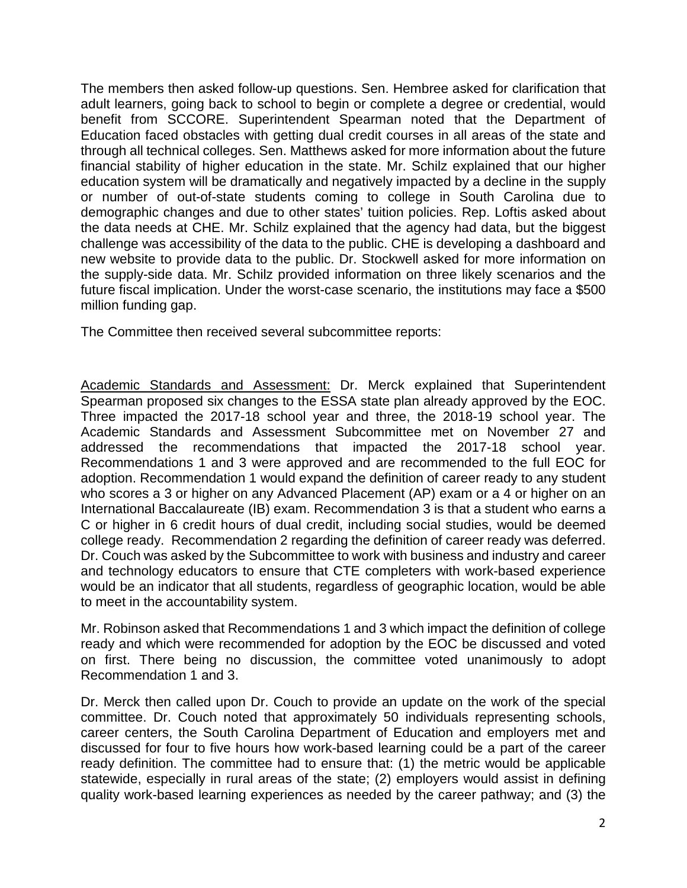The members then asked follow-up questions. Sen. Hembree asked for clarification that adult learners, going back to school to begin or complete a degree or credential, would benefit from SCCORE. Superintendent Spearman noted that the Department of Education faced obstacles with getting dual credit courses in all areas of the state and through all technical colleges. Sen. Matthews asked for more information about the future financial stability of higher education in the state. Mr. Schilz explained that our higher education system will be dramatically and negatively impacted by a decline in the supply or number of out-of-state students coming to college in South Carolina due to demographic changes and due to other states' tuition policies. Rep. Loftis asked about the data needs at CHE. Mr. Schilz explained that the agency had data, but the biggest challenge was accessibility of the data to the public. CHE is developing a dashboard and new website to provide data to the public. Dr. Stockwell asked for more information on the supply-side data. Mr. Schilz provided information on three likely scenarios and the future fiscal implication. Under the worst-case scenario, the institutions may face a \$500 million funding gap.

The Committee then received several subcommittee reports:

Academic Standards and Assessment: Dr. Merck explained that Superintendent Spearman proposed six changes to the ESSA state plan already approved by the EOC. Three impacted the 2017-18 school year and three, the 2018-19 school year. The Academic Standards and Assessment Subcommittee met on November 27 and addressed the recommendations that impacted the 2017-18 school year. Recommendations 1 and 3 were approved and are recommended to the full EOC for adoption. Recommendation 1 would expand the definition of career ready to any student who scores a 3 or higher on any Advanced Placement (AP) exam or a 4 or higher on an International Baccalaureate (IB) exam. Recommendation 3 is that a student who earns a C or higher in 6 credit hours of dual credit, including social studies, would be deemed college ready. Recommendation 2 regarding the definition of career ready was deferred. Dr. Couch was asked by the Subcommittee to work with business and industry and career and technology educators to ensure that CTE completers with work-based experience would be an indicator that all students, regardless of geographic location, would be able to meet in the accountability system.

Mr. Robinson asked that Recommendations 1 and 3 which impact the definition of college ready and which were recommended for adoption by the EOC be discussed and voted on first. There being no discussion, the committee voted unanimously to adopt Recommendation 1 and 3.

Dr. Merck then called upon Dr. Couch to provide an update on the work of the special committee. Dr. Couch noted that approximately 50 individuals representing schools, career centers, the South Carolina Department of Education and employers met and discussed for four to five hours how work-based learning could be a part of the career ready definition. The committee had to ensure that: (1) the metric would be applicable statewide, especially in rural areas of the state; (2) employers would assist in defining quality work-based learning experiences as needed by the career pathway; and (3) the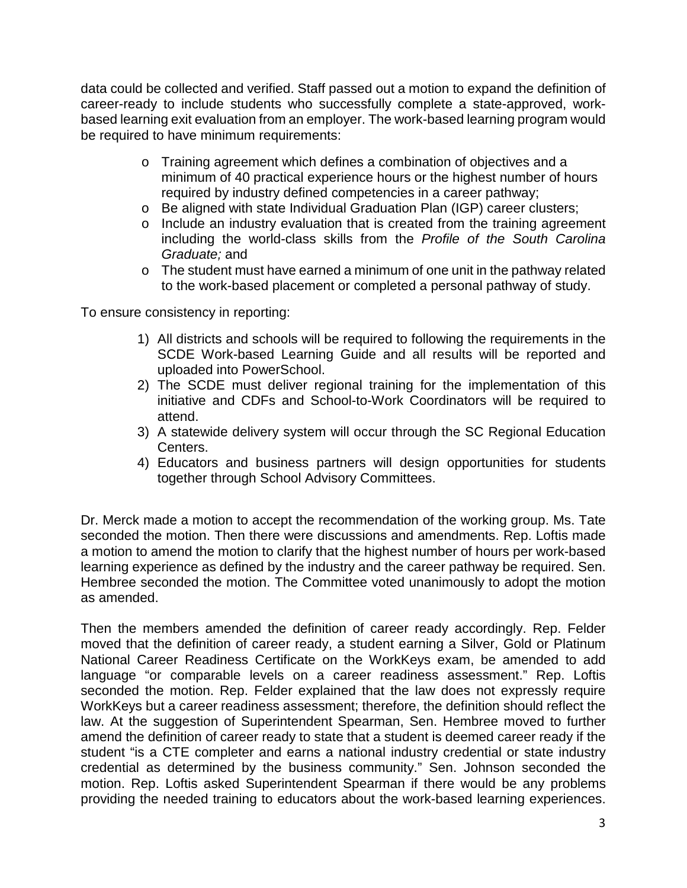data could be collected and verified. Staff passed out a motion to expand the definition of career-ready to include students who successfully complete a state-approved, workbased learning exit evaluation from an employer. The work-based learning program would be required to have minimum requirements:

- o Training agreement which defines a combination of objectives and a minimum of 40 practical experience hours or the highest number of hours required by industry defined competencies in a career pathway;
- o Be aligned with state Individual Graduation Plan (IGP) career clusters;
- o Include an industry evaluation that is created from the training agreement including the world-class skills from the *Profile of the South Carolina Graduate;* and
- o The student must have earned a minimum of one unit in the pathway related to the work-based placement or completed a personal pathway of study.

To ensure consistency in reporting:

- 1) All districts and schools will be required to following the requirements in the SCDE Work-based Learning Guide and all results will be reported and uploaded into PowerSchool.
- 2) The SCDE must deliver regional training for the implementation of this initiative and CDFs and School-to-Work Coordinators will be required to attend.
- 3) A statewide delivery system will occur through the SC Regional Education Centers.
- 4) Educators and business partners will design opportunities for students together through School Advisory Committees.

Dr. Merck made a motion to accept the recommendation of the working group. Ms. Tate seconded the motion. Then there were discussions and amendments. Rep. Loftis made a motion to amend the motion to clarify that the highest number of hours per work-based learning experience as defined by the industry and the career pathway be required. Sen. Hembree seconded the motion. The Committee voted unanimously to adopt the motion as amended.

Then the members amended the definition of career ready accordingly. Rep. Felder moved that the definition of career ready, a student earning a Silver, Gold or Platinum National Career Readiness Certificate on the WorkKeys exam, be amended to add language "or comparable levels on a career readiness assessment." Rep. Loftis seconded the motion. Rep. Felder explained that the law does not expressly require WorkKeys but a career readiness assessment; therefore, the definition should reflect the law. At the suggestion of Superintendent Spearman, Sen. Hembree moved to further amend the definition of career ready to state that a student is deemed career ready if the student "is a CTE completer and earns a national industry credential or state industry credential as determined by the business community." Sen. Johnson seconded the motion. Rep. Loftis asked Superintendent Spearman if there would be any problems providing the needed training to educators about the work-based learning experiences.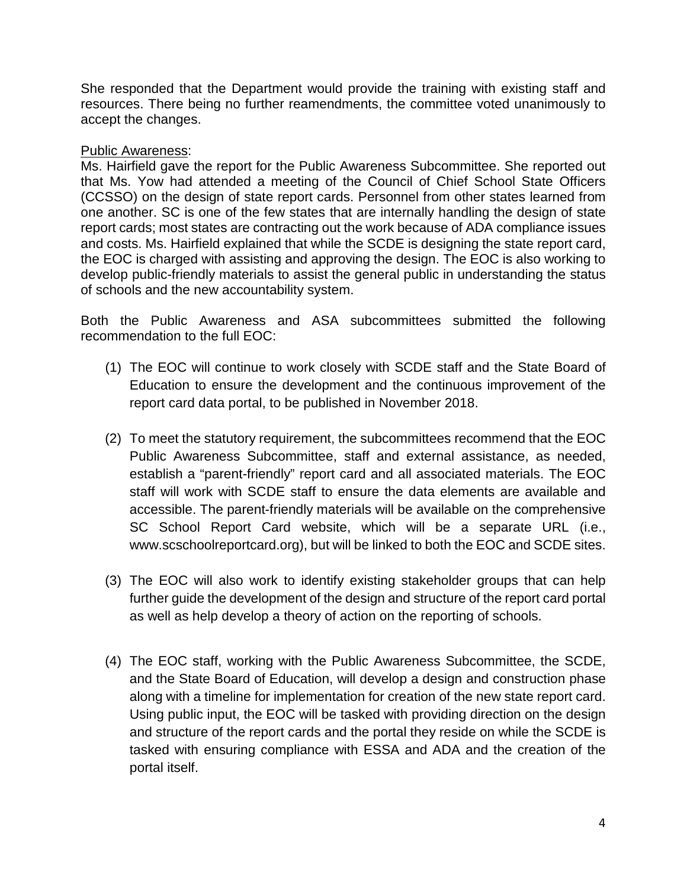She responded that the Department would provide the training with existing staff and resources. There being no further reamendments, the committee voted unanimously to accept the changes.

#### Public Awareness:

Ms. Hairfield gave the report for the Public Awareness Subcommittee. She reported out that Ms. Yow had attended a meeting of the Council of Chief School State Officers (CCSSO) on the design of state report cards. Personnel from other states learned from one another. SC is one of the few states that are internally handling the design of state report cards; most states are contracting out the work because of ADA compliance issues and costs. Ms. Hairfield explained that while the SCDE is designing the state report card, the EOC is charged with assisting and approving the design. The EOC is also working to develop public-friendly materials to assist the general public in understanding the status of schools and the new accountability system.

Both the Public Awareness and ASA subcommittees submitted the following recommendation to the full EOC:

- (1) The EOC will continue to work closely with SCDE staff and the State Board of Education to ensure the development and the continuous improvement of the report card data portal, to be published in November 2018.
- (2) To meet the statutory requirement, the subcommittees recommend that the EOC Public Awareness Subcommittee, staff and external assistance, as needed, establish a "parent-friendly" report card and all associated materials. The EOC staff will work with SCDE staff to ensure the data elements are available and accessible. The parent-friendly materials will be available on the comprehensive SC School Report Card website, which will be a separate URL (i.e., www.scschoolreportcard.org), but will be linked to both the EOC and SCDE sites.
- (3) The EOC will also work to identify existing stakeholder groups that can help further guide the development of the design and structure of the report card portal as well as help develop a theory of action on the reporting of schools.
- (4) The EOC staff, working with the Public Awareness Subcommittee, the SCDE, and the State Board of Education, will develop a design and construction phase along with a timeline for implementation for creation of the new state report card. Using public input, the EOC will be tasked with providing direction on the design and structure of the report cards and the portal they reside on while the SCDE is tasked with ensuring compliance with ESSA and ADA and the creation of the portal itself.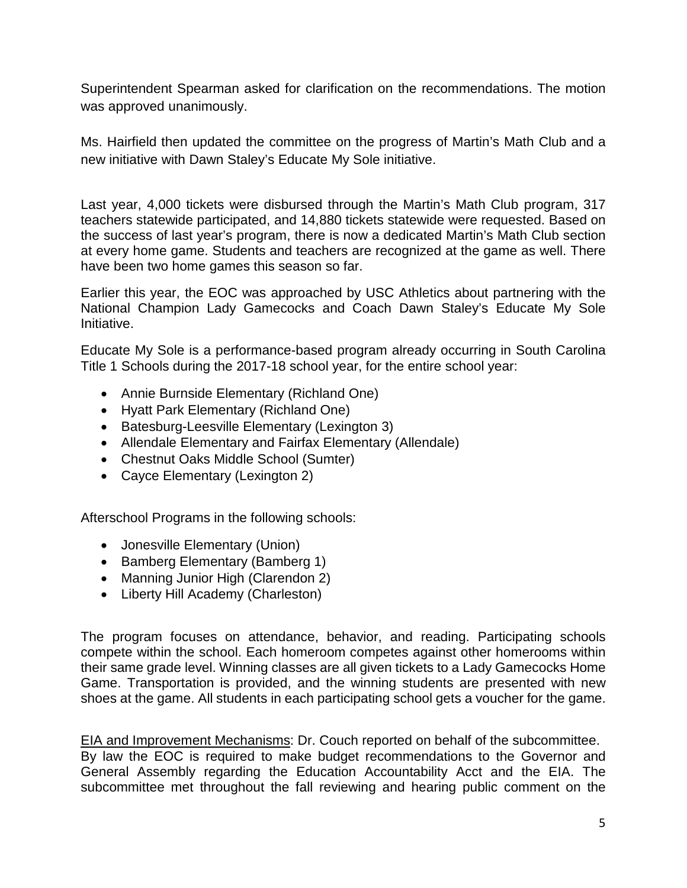Superintendent Spearman asked for clarification on the recommendations. The motion was approved unanimously.

Ms. Hairfield then updated the committee on the progress of Martin's Math Club and a new initiative with Dawn Staley's Educate My Sole initiative.

Last year, 4,000 tickets were disbursed through the Martin's Math Club program, 317 teachers statewide participated, and 14,880 tickets statewide were requested. Based on the success of last year's program, there is now a dedicated Martin's Math Club section at every home game. Students and teachers are recognized at the game as well. There have been two home games this season so far.

Earlier this year, the EOC was approached by USC Athletics about partnering with the National Champion Lady Gamecocks and Coach Dawn Staley's Educate My Sole Initiative.

Educate My Sole is a performance-based program already occurring in South Carolina Title 1 Schools during the 2017-18 school year, for the entire school year:

- Annie Burnside Elementary (Richland One)
- Hyatt Park Elementary (Richland One)
- Batesburg-Leesville Elementary (Lexington 3)
- Allendale Elementary and Fairfax Elementary (Allendale)
- Chestnut Oaks Middle School (Sumter)
- Cayce Elementary (Lexington 2)

Afterschool Programs in the following schools:

- Jonesville Elementary (Union)
- Bamberg Elementary (Bamberg 1)
- Manning Junior High (Clarendon 2)
- Liberty Hill Academy (Charleston)

The program focuses on attendance, behavior, and reading. Participating schools compete within the school. Each homeroom competes against other homerooms within their same grade level. Winning classes are all given tickets to a Lady Gamecocks Home Game. Transportation is provided, and the winning students are presented with new shoes at the game. All students in each participating school gets a voucher for the game.

EIA and Improvement Mechanisms: Dr. Couch reported on behalf of the subcommittee. By law the EOC is required to make budget recommendations to the Governor and

General Assembly regarding the Education Accountability Acct and the EIA. The subcommittee met throughout the fall reviewing and hearing public comment on the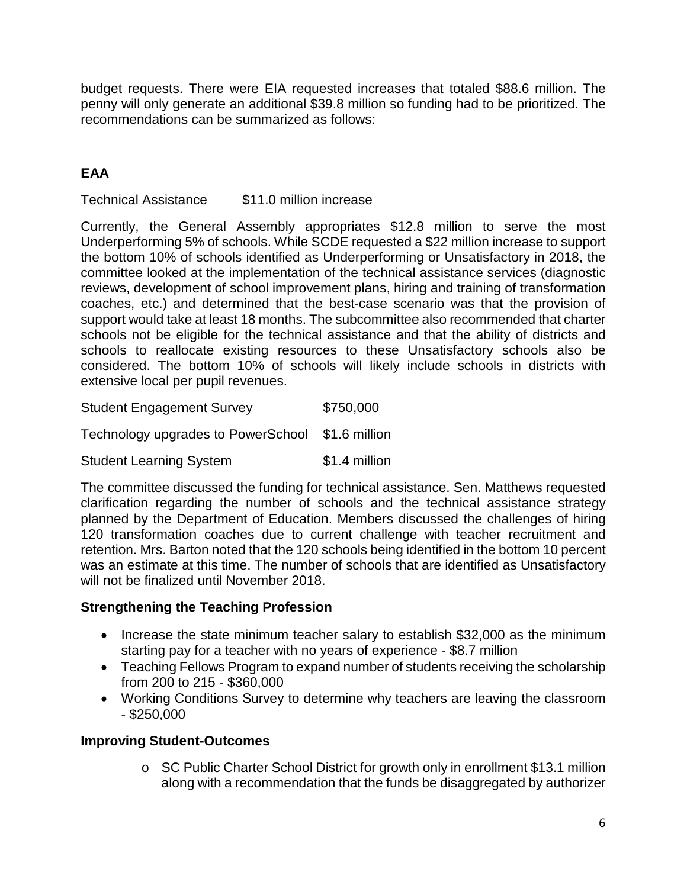budget requests. There were EIA requested increases that totaled \$88.6 million. The penny will only generate an additional \$39.8 million so funding had to be prioritized. The recommendations can be summarized as follows:

# **EAA**

Technical Assistance \$11.0 million increase

Currently, the General Assembly appropriates \$12.8 million to serve the most Underperforming 5% of schools. While SCDE requested a \$22 million increase to support the bottom 10% of schools identified as Underperforming or Unsatisfactory in 2018, the committee looked at the implementation of the technical assistance services (diagnostic reviews, development of school improvement plans, hiring and training of transformation coaches, etc.) and determined that the best-case scenario was that the provision of support would take at least 18 months. The subcommittee also recommended that charter schools not be eligible for the technical assistance and that the ability of districts and schools to reallocate existing resources to these Unsatisfactory schools also be considered. The bottom 10% of schools will likely include schools in districts with extensive local per pupil revenues.

| <b>Student Engagement Survey</b>   | \$750,000     |
|------------------------------------|---------------|
| Technology upgrades to PowerSchool | \$1.6 million |
| <b>Student Learning System</b>     | \$1.4 million |

The committee discussed the funding for technical assistance. Sen. Matthews requested clarification regarding the number of schools and the technical assistance strategy planned by the Department of Education. Members discussed the challenges of hiring 120 transformation coaches due to current challenge with teacher recruitment and retention. Mrs. Barton noted that the 120 schools being identified in the bottom 10 percent was an estimate at this time. The number of schools that are identified as Unsatisfactory will not be finalized until November 2018.

### **Strengthening the Teaching Profession**

- Increase the state minimum teacher salary to establish \$32,000 as the minimum starting pay for a teacher with no years of experience - \$8.7 million
- Teaching Fellows Program to expand number of students receiving the scholarship from 200 to 215 - \$360,000
- Working Conditions Survey to determine why teachers are leaving the classroom - \$250,000

### **Improving Student-Outcomes**

o SC Public Charter School District for growth only in enrollment \$13.1 million along with a recommendation that the funds be disaggregated by authorizer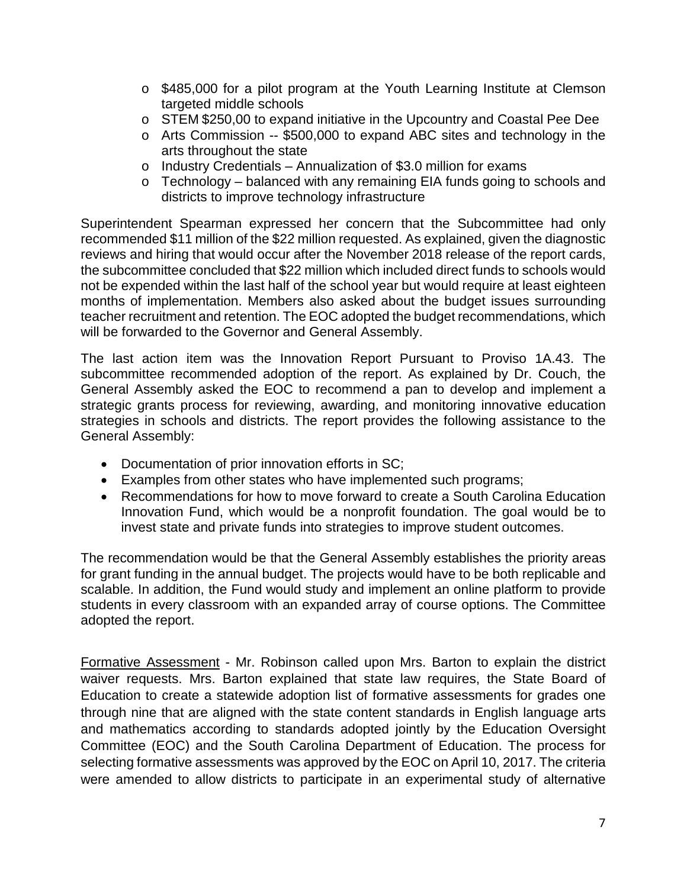- o \$485,000 for a pilot program at the Youth Learning Institute at Clemson targeted middle schools
- o STEM \$250,00 to expand initiative in the Upcountry and Coastal Pee Dee
- o Arts Commission -- \$500,000 to expand ABC sites and technology in the arts throughout the state
- o Industry Credentials Annualization of \$3.0 million for exams
- o Technology balanced with any remaining EIA funds going to schools and districts to improve technology infrastructure

Superintendent Spearman expressed her concern that the Subcommittee had only recommended \$11 million of the \$22 million requested. As explained, given the diagnostic reviews and hiring that would occur after the November 2018 release of the report cards, the subcommittee concluded that \$22 million which included direct funds to schools would not be expended within the last half of the school year but would require at least eighteen months of implementation. Members also asked about the budget issues surrounding teacher recruitment and retention. The EOC adopted the budget recommendations, which will be forwarded to the Governor and General Assembly.

The last action item was the Innovation Report Pursuant to Proviso 1A.43. The subcommittee recommended adoption of the report. As explained by Dr. Couch, the General Assembly asked the EOC to recommend a pan to develop and implement a strategic grants process for reviewing, awarding, and monitoring innovative education strategies in schools and districts. The report provides the following assistance to the General Assembly:

- Documentation of prior innovation efforts in SC;
- Examples from other states who have implemented such programs;
- Recommendations for how to move forward to create a South Carolina Education Innovation Fund, which would be a nonprofit foundation. The goal would be to invest state and private funds into strategies to improve student outcomes.

The recommendation would be that the General Assembly establishes the priority areas for grant funding in the annual budget. The projects would have to be both replicable and scalable. In addition, the Fund would study and implement an online platform to provide students in every classroom with an expanded array of course options. The Committee adopted the report.

Formative Assessment - Mr. Robinson called upon Mrs. Barton to explain the district waiver requests. Mrs. Barton explained that state law requires, the State Board of Education to create a statewide adoption list of formative assessments for grades one through nine that are aligned with the state content standards in English language arts and mathematics according to standards adopted jointly by the Education Oversight Committee (EOC) and the South Carolina Department of Education. The process for selecting formative assessments was approved by the EOC on April 10, 2017. The criteria were amended to allow districts to participate in an experimental study of alternative